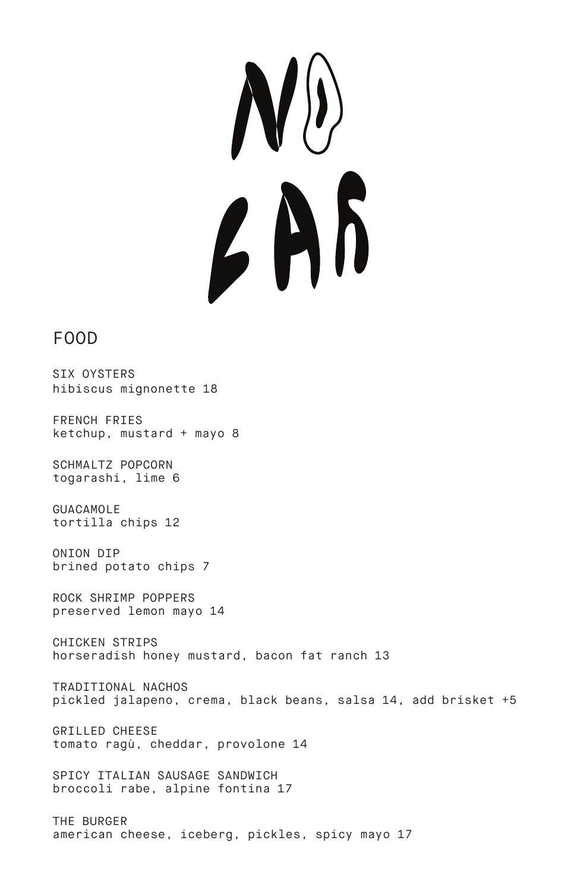$\boldsymbol{l}$ 

## FOOD

SIX OYSTERS hibiscus mignonette 18

FRENCH FRIES ketchup, mustard + mayo 8

SCHMALTZ POPCORN togarashi, lime 6

GUACAMOLE tortilla chips 12

ONION DIP brined potato chips 7

ROCK SHRIMP POPPERS preserved lemon mayo 14

CHICKEN STRIPS horseradish honey mustard, bacon fat ranch 13

TRADITIONAL NACHOS pickled jalapeno, crema, black beans, salsa 14, add brisket +5

GRILLED CHEESE tomato ragù, cheddar, provolone 14

SPICY ITALIAN SAUSAGE SANDWICH broccoli rabe, alpine fontina 17

THE BURGER american cheese, iceberg, pickles, spicy mayo 17